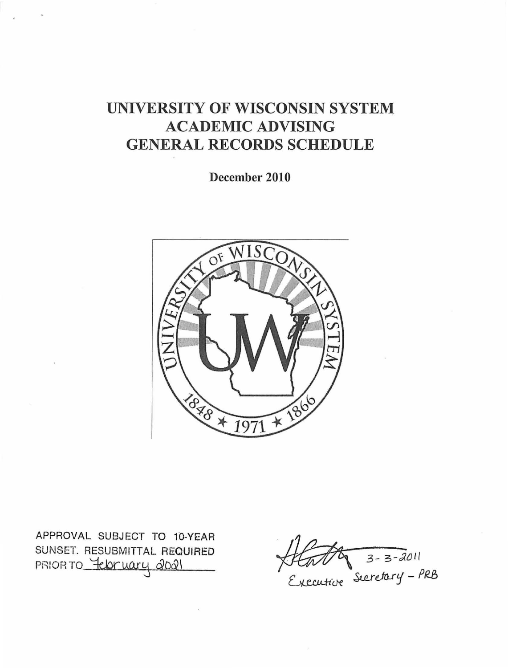# UNIVERSITY OF WISCONSIN SYSTEM **ACADEMIC ADVISING GENERAL RECORDS SCHEDULE**

December 2010



APPROVAL SUBJECT TO 10-YEAR SUNSET. RESUBMITTAL REQUIRED PRIOR TO Tebruary 2021

Hatty 3-3-2011<br>Executive Secretary - PRB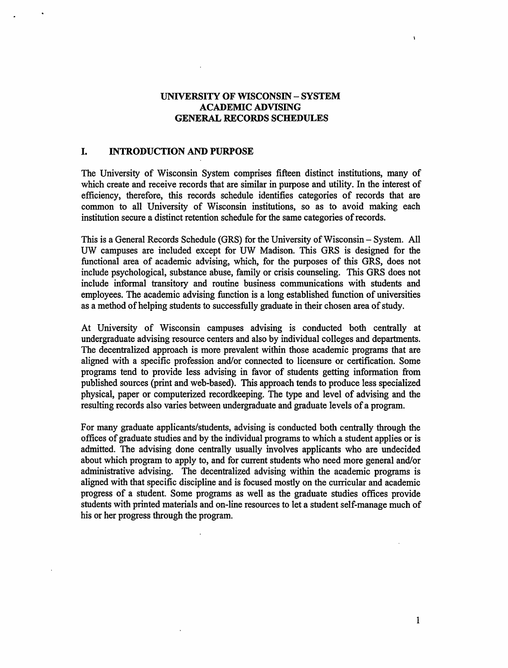# UNIVERSITY OF WISCONSIN - SYSTEM ACADEMIC ADVISING GENERAL RECORDS SCHEDULES

# I. INTRODUCTION AND PURPOSE

The University of Wisconsin System comprises fifteen distinct institutions, many of which create and receive records that are similar in purpose and utility. In the interest of efficiency, therefore, this records schedule identifies categories of records that are common to all University of Wisconsin institutions, so as to avoid making each institution secure a distinct retention schedule for the same categories of records.

This is a General Records Schedule (GRS) for the University of Wisconsin- System. All UW campuses are included except for UW Madison. This GRS is designed for the functional area of academic advising, which, for the purposes of this GRS, does not include psychological, substance abuse, family or crisis counseling. This GRS does not include informal transitory and routine business communications with students and employees. The academic advising function is a long established function of universities as a method of helping students to successfully graduate in their chosen area of study.

At University of Wisconsin campuses advising is conducted both centrally at undergraduate advising resource centers and also by individual colleges and departments. The decentralized approach is more prevalent within those academic programs that are aligned with a specific profession and/or connected to licensure or certification. Some programs tend to provide less advising in favor of students getting information from published sources (print and web-based). This approach tends to produce less specialized physical, paper or computerized recordkeeping. The type and level of advising and the resulting records also varies between undergraduate and graduate levels of a program.

For many graduate applicants/students, advising is conducted both centrally through the offices of graduate studies and by the individual programs to which a student applies or is admitted. The advising done centrally usually involves applicants who are undecided about which program to apply to, and for current students who need more general and/or administrative advising. The decentralized advising within the academic programs is aligned with that specific discipline and is focused mostly on the curricular and academic progress of a student. Some programs as well as the graduate studies offices provide students with printed materials and on-line resources to let a student self-manage much of his or her progress through the program.

1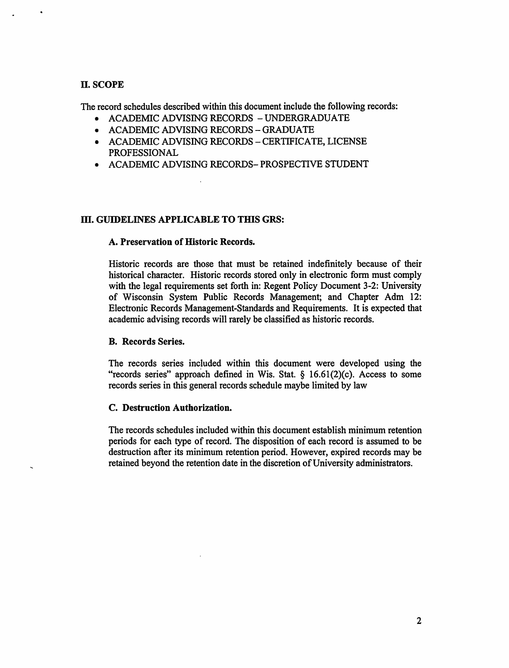# II. SCOPE

The record schedules described within this document include the following records:

- ACADEMIC ADVISING RECORDS UNDERGRADUATE
- ACADEMIC ADVISING RECORDS GRADUATE
- ACADEMIC ADVISING RECORDS CERTIFICATE, LICENSE PROFESSIONAL
- ACADEMIC ADVISING RECORDS- PROSPECTIVE STUDENT

# III. GUIDELINES APPLICABLE TO THIS GRS:

# A. Preservation of Historic Records.

Historic records are those that must be retained indefinitely because of their historical character. Historic records stored only in electronic form must comply with the legal requirements set forth in: Regent Policy Document 3-2: University of Wisconsin System Public Records Management; and Chapter Adm 12: Electronic Records Management-Standards and Requirements. It is expected that academic advising records will rarely be classified as historic records.

# B. Records Series.

The records series included within this document were developed using the "records series" approach defined in Wis. Stat.  $\S$  16.61(2)(c). Access to some records series in this general records schedule maybe limited by law

# C. Destruction Authorization.

The records schedules included within this document establish minimum retention periods for each type of record. The disposition of each record is assumed to be destruction after its minimum retention period. However, expired records may be retained beyond the retention date in the discretion of University administrators.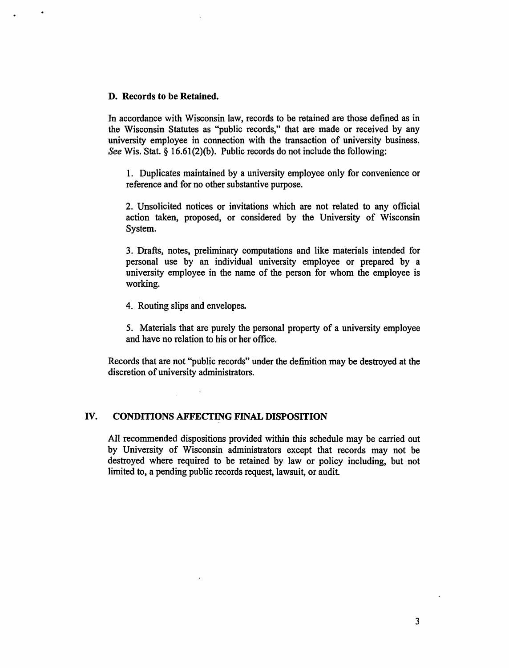### D. Records to be Retained.

In accordance with Wisconsin law, records to be retained are those defined as in the Wisconsin Statutes as "public records," that are made or received by any university employee in connection with the transaction of university business. See Wis. Stat. § 16.61(2)(b). Public records do not include the following:

1. Duplicates maintained by a university employee only for convenience or reference and for no other substantive purpose.

2. Unsolicited notices or invitations which are not related to any official action taken, proposed, or considered by the University of Wisconsin System.

3. Drafts, notes, preliminary computations and like materials intended for personal use by an individual university employee or prepared by a university employee in the name of the person for whom the employee is working.

4. Routing slips and envelopes.

5. Materials that are purely the personal property of a university employee and have no relation to his or her office.

Records that are not "public records" under the definition may be destroyed at the discretion of university administrators.

# IV. CONDITIONS AFFECTING FINAL DISPOSITION

All recommended dispositions provided within this schedule may be carried out by University of Wisconsin administrators except that records may not be destroyed where required to be retained by law or policy including, but not limited to, a pending public records request, lawsuit, or audit.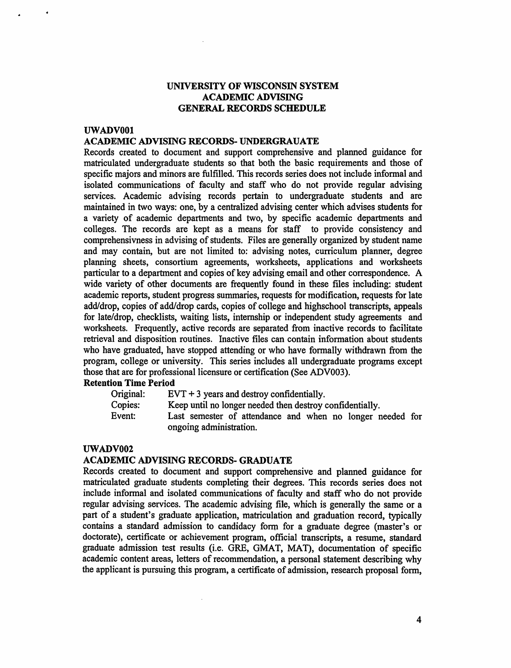# UNIVERSITY OF WISCONSIN SYSTEM ACADEMIC ADVISING GENERAL RECORDS SCHEDULE

# UWADVOOl

## ACADEMIC ADVISING RECORDS- UNDERGRAUATE

Records created to document and support comprehensive and planned guidance for matriculated undergraduate students so that both the basic requirements and those of specific majors and minors are fulfilled. This records series does not include informal and isolated communications of faculty and staff who do not provide regular advising services. Academic advising records pertain to undergraduate students and are maintained in two ways: one, by a centralized advising center which advises students for a variety of academic departments and two, by specific academic departments and colleges. The records are kept as a means for staff to provide consistency and comprehensivness in advising of students. Files are generally organized by student name and may contain, but are not limited to: advising notes, curriculum planner, degree planning sheets, consortium agreements, worksheets, applications and worksheets particular to a department and copies of key advising email and other correspondence. A wide variety of other documents are frequently found in these files including: student academic reports, student progress summaries, requests for modification, requests for late add/drop, copies of add/drop cards, copies of college and highschool transcripts, appeals for late/drop, checklists, waiting lists, internship or independent study agreements and worksheets. Frequently, active records are separated from inactive records to facilitate retrieval and disposition routines. Inactive files can contain information about students who have graduated, have stopped attending or who have formally withdrawn from the program, college or university. This series includes all undergraduate programs except those that are for professional licensure or certification (See ADV003).

# Retention Time Period

| Original: | $EVT + 3$ years and destroy confidentially.               |
|-----------|-----------------------------------------------------------|
| Copies:   | Keep until no longer needed then destroy confidentially.  |
| Event:    | Last semester of attendance and when no longer needed for |
|           | ongoing administration.                                   |

## UWADV002

## ACADEMIC ADVISING RECORDS- GRADUATE

 $\alpha$ 

Records created to document and support comprehensive and planned guidance for matriculated graduate students completing their degrees. This records series does not include informal and isolated communications of faculty and staff who do not provide regular advising services. The academic advising file, which is generally the same or a part of a student's graduate application, matriculation and graduation record, typically contains a standard admission to candidacy fonn for a graduate degree (master's or doctorate), certificate or achievement program, official transcripts, a resume, standard graduate admission test results (i.e. GRE, GMAT, MAT), documentation of specific academic content areas, letters of recommendation, a personal statement describing why the applicant is pursuing this program, a certificate of admission, research proposal form,